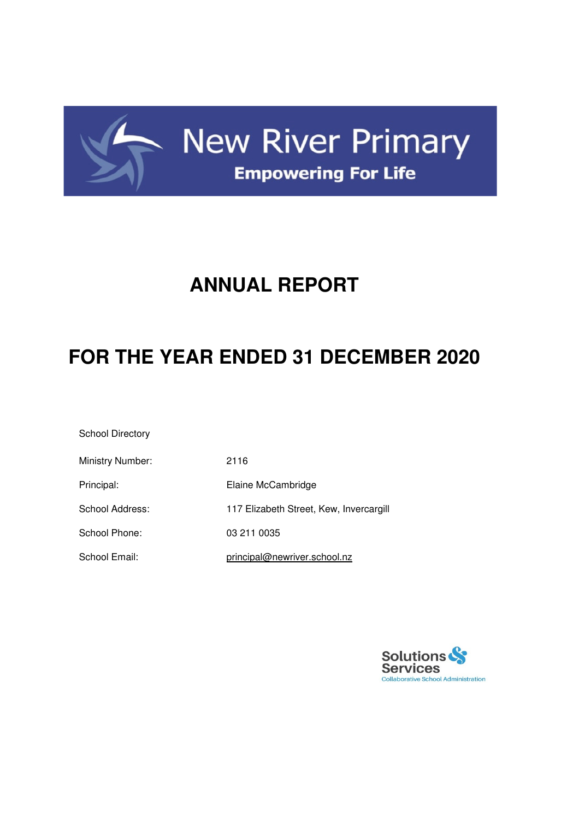

## **ANNUAL REPORT**

## **FOR THE YEAR ENDED 31 DECEMBER 2020**

School Directory

| Ministry Number: | 2116                                    |
|------------------|-----------------------------------------|
| Principal:       | Elaine McCambridge                      |
| School Address:  | 117 Elizabeth Street, Kew, Invercargill |
| School Phone:    | 03 211 0035                             |
| School Email:    | principal@newriver.school.nz            |

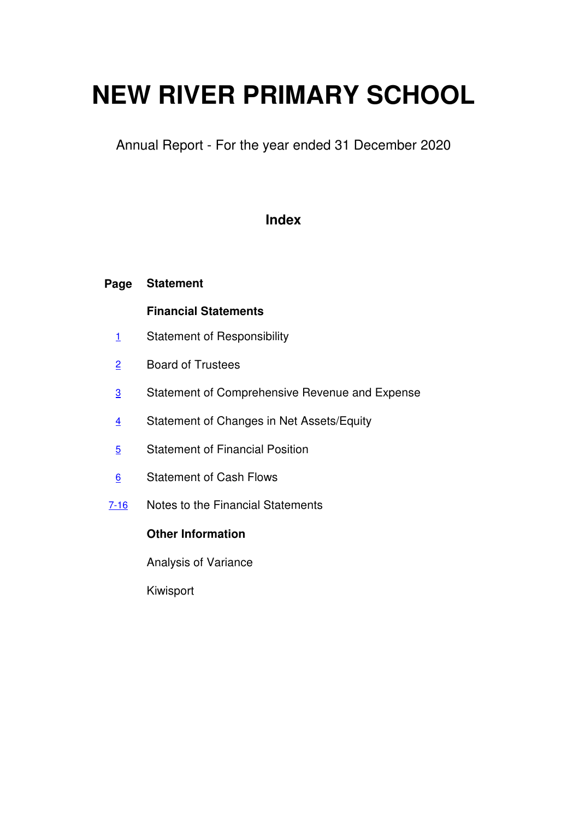# **NEW RIVER PRIMARY SCHOOL**

Annual Report - For the year ended 31 December 2020

### **Index**

#### **Page Statement**

### **Financial Statements**

- 1 Statement of Responsibility
- 2 Board of Trustees
- 3 Statement of Comprehensive Revenue and Expense
- 4 Statement of Changes in Net Assets/Equity
- 5 Statement of Financial Position
- 6 Statement of Cash Flows
- 7-16 Notes to the Financial Statements

### **Other Information**

Analysis of Variance

Kiwisport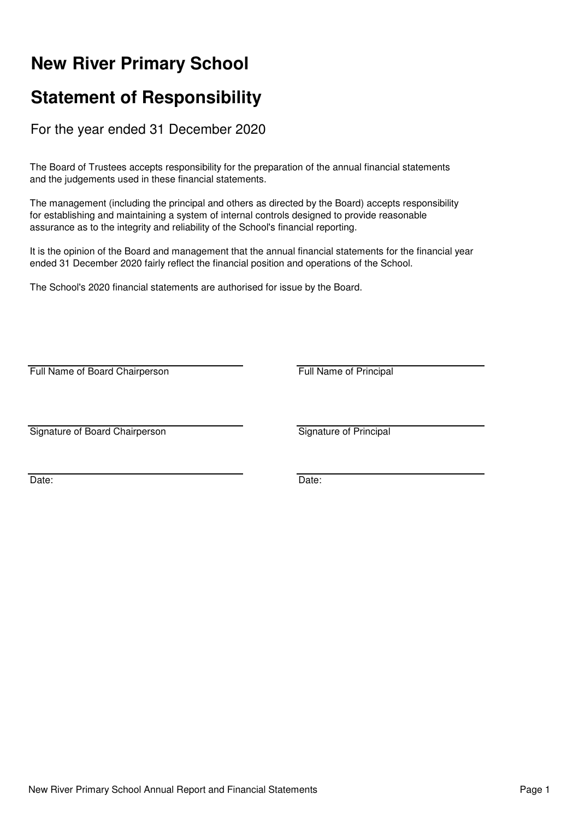## **New River Primary School**

## **Statement of Responsibility**

For the year ended 31 December 2020

The Board of Trustees accepts responsibility for the preparation of the annual financial statements and the judgements used in these financial statements.

The management (including the principal and others as directed by the Board) accepts responsibility for establishing and maintaining a system of internal controls designed to provide reasonable assurance as to the integrity and reliability of the School's financial reporting.

It is the opinion of the Board and management that the annual financial statements for the financial year ended 31 December 2020 fairly reflect the financial position and operations of the School.

The School's 2020 financial statements are authorised for issue by the Board.

Full Name of Board Chairperson **Full Name of Principal** 

Signature of Board Chairperson Signature of Principal

Date: Date: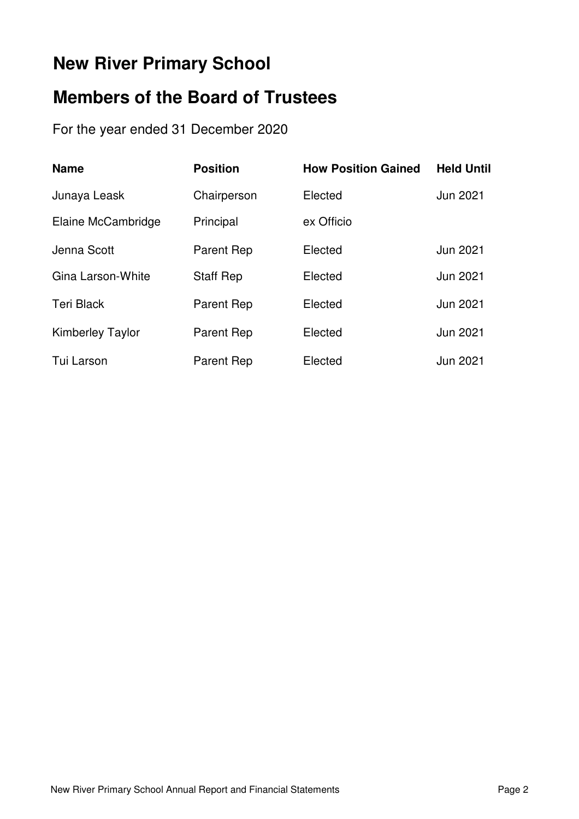## **New River Primary School**

## **Members of the Board of Trustees**

For the year ended 31 December 2020

| <b>Name</b>        | <b>Position</b>   | <b>How Position Gained</b> | <b>Held Until</b> |
|--------------------|-------------------|----------------------------|-------------------|
| Junaya Leask       | Chairperson       | Elected                    | Jun 2021          |
| Elaine McCambridge | Principal         | ex Officio                 |                   |
| Jenna Scott        | <b>Parent Rep</b> | Elected                    | <b>Jun 2021</b>   |
| Gina Larson-White  | <b>Staff Rep</b>  | Elected                    | <b>Jun 2021</b>   |
| <b>Teri Black</b>  | Parent Rep        | Elected                    | Jun 2021          |
| Kimberley Taylor   | Parent Rep        | Elected                    | Jun 2021          |
| Tui Larson         | <b>Parent Rep</b> | Elected                    | <b>Jun 2021</b>   |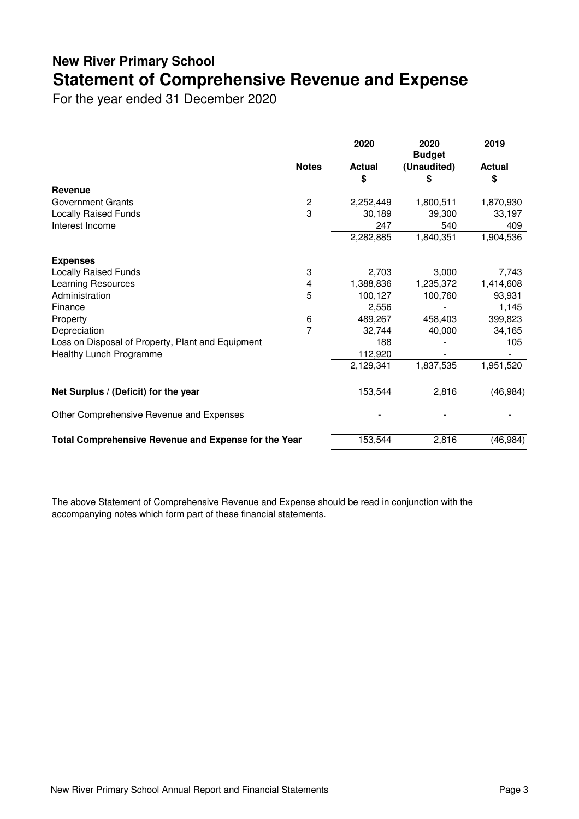## **New River Primary School Statement of Comprehensive Revenue and Expense**

For the year ended 31 December 2020

|                                                             |                         | 2020                | 2020<br><b>Budget</b> | 2019                |
|-------------------------------------------------------------|-------------------------|---------------------|-----------------------|---------------------|
|                                                             | <b>Notes</b>            | <b>Actual</b><br>\$ | (Unaudited)<br>\$     | <b>Actual</b><br>\$ |
| <b>Revenue</b>                                              |                         |                     |                       |                     |
| <b>Government Grants</b>                                    | $\overline{\mathbf{c}}$ | 2,252,449           | 1,800,511             | 1,870,930           |
| <b>Locally Raised Funds</b>                                 | 3                       | 30,189              | 39,300                | 33,197              |
| Interest Income                                             |                         | 247                 | 540                   | 409                 |
|                                                             |                         | 2,282,885           | 1,840,351             | 1,904,536           |
| <b>Expenses</b>                                             |                         |                     |                       |                     |
| <b>Locally Raised Funds</b>                                 | 3                       | 2,703               | 3.000                 | 7,743               |
| <b>Learning Resources</b>                                   | 4                       | 1,388,836           | 1,235,372             | 1,414,608           |
| Administration                                              | 5                       | 100,127             | 100,760               | 93,931              |
| Finance                                                     |                         | 2,556               |                       | 1,145               |
| Property                                                    | 6                       | 489,267             | 458,403               | 399,823             |
| Depreciation                                                | $\overline{7}$          | 32,744              | 40,000                | 34,165              |
| Loss on Disposal of Property, Plant and Equipment           |                         | 188                 |                       | 105                 |
| Healthy Lunch Programme                                     |                         | 112,920             |                       |                     |
|                                                             |                         | 2,129,341           | 1,837,535             | 1,951,520           |
| Net Surplus / (Deficit) for the year                        |                         | 153,544             | 2,816                 | (46, 984)           |
| Other Comprehensive Revenue and Expenses                    |                         |                     |                       |                     |
| <b>Total Comprehensive Revenue and Expense for the Year</b> |                         | 153,544             | 2,816                 | (46, 984)           |

The above Statement of Comprehensive Revenue and Expense should be read in conjunction with the accompanying notes which form part of these financial statements.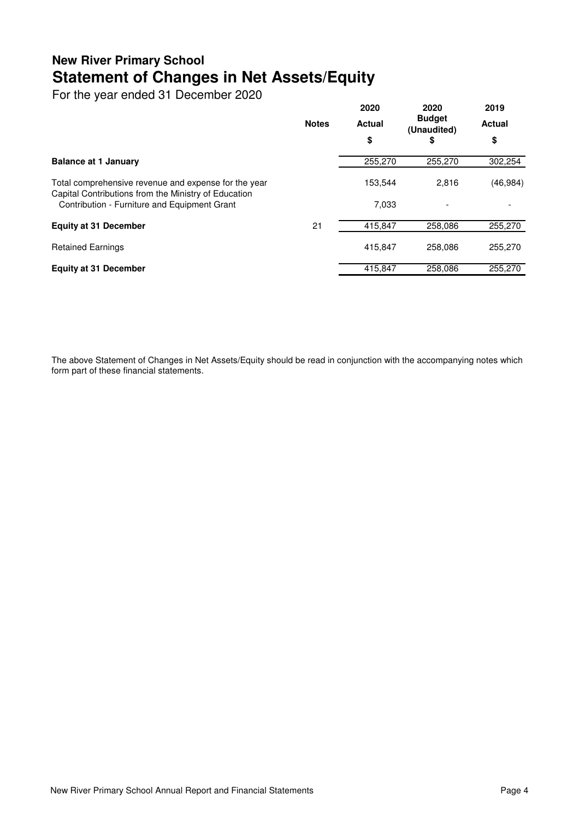### **New River Primary School Statement of Changes in Net Assets/Equity**

For the year ended 31 December 2020

|                                                                                                              |              | 2020<br><b>Actual</b><br>\$ | 2020<br><b>Budget</b><br>(Unaudited)<br>\$ | 2019          |
|--------------------------------------------------------------------------------------------------------------|--------------|-----------------------------|--------------------------------------------|---------------|
|                                                                                                              | <b>Notes</b> |                             |                                            | <b>Actual</b> |
|                                                                                                              |              |                             |                                            | \$            |
| <b>Balance at 1 January</b>                                                                                  |              | 255,270                     | 255,270                                    | 302,254       |
| Total comprehensive revenue and expense for the year<br>Capital Contributions from the Ministry of Education |              | 153.544                     | 2,816                                      | (46, 984)     |
| Contribution - Furniture and Equipment Grant                                                                 |              | 7,033                       |                                            |               |
| <b>Equity at 31 December</b>                                                                                 | 21           | 415,847                     | 258,086                                    | 255,270       |
| <b>Retained Earnings</b>                                                                                     |              | 415.847                     | 258,086                                    | 255,270       |
| <b>Equity at 31 December</b>                                                                                 |              | 415.847                     | 258,086                                    | 255.270       |

The above Statement of Changes in Net Assets/Equity should be read in conjunction with the accompanying notes which form part of these financial statements.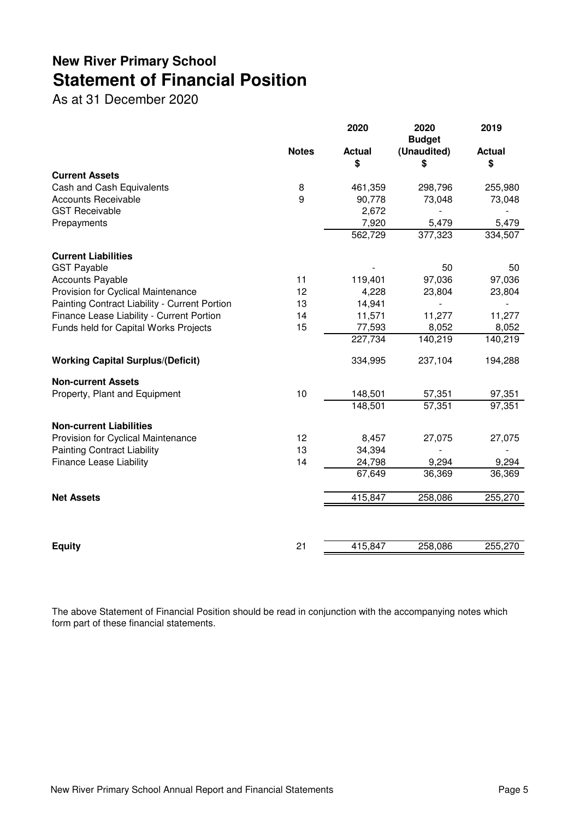## **New River Primary School Statement of Financial Position**

As at 31 December 2020

|                                               |              | 2020                | 2020<br><b>Budget</b> | 2019                |
|-----------------------------------------------|--------------|---------------------|-----------------------|---------------------|
|                                               | <b>Notes</b> | <b>Actual</b><br>\$ | (Unaudited)<br>\$     | <b>Actual</b><br>\$ |
| <b>Current Assets</b>                         |              |                     |                       |                     |
| Cash and Cash Equivalents                     | 8            | 461,359             | 298,796               | 255,980             |
| <b>Accounts Receivable</b>                    | 9            | 90,778              | 73,048                | 73,048              |
| <b>GST Receivable</b>                         |              | 2,672               |                       |                     |
| Prepayments                                   |              | 7,920               | 5,479                 | 5,479               |
|                                               |              | 562,729             | 377,323               | 334,507             |
| <b>Current Liabilities</b>                    |              |                     |                       |                     |
| <b>GST Payable</b>                            |              |                     | 50                    | 50                  |
| <b>Accounts Payable</b>                       | 11           | 119,401             | 97,036                | 97,036              |
| Provision for Cyclical Maintenance            | 12           | 4,228               | 23,804                | 23,804              |
| Painting Contract Liability - Current Portion | 13           | 14,941              |                       |                     |
| Finance Lease Liability - Current Portion     | 14           | 11,571              | 11,277                | 11,277              |
| Funds held for Capital Works Projects         | 15           | 77,593              | 8,052                 | 8,052               |
|                                               |              | 227,734             | 140,219               | 140,219             |
| <b>Working Capital Surplus/(Deficit)</b>      |              | 334,995             | 237,104               | 194,288             |
| <b>Non-current Assets</b>                     |              |                     |                       |                     |
| Property, Plant and Equipment                 | 10           | 148,501             | 57,351                | 97,351              |
|                                               |              | 148,501             | 57,351                | 97,351              |
| <b>Non-current Liabilities</b>                |              |                     |                       |                     |
| Provision for Cyclical Maintenance            | 12           | 8,457               | 27,075                | 27,075              |
| <b>Painting Contract Liability</b>            | 13           | 34,394              |                       |                     |
| <b>Finance Lease Liability</b>                | 14           | 24,798              | 9,294                 | 9,294               |
|                                               |              | 67,649              | 36,369                | 36,369              |
| <b>Net Assets</b>                             |              | 415,847             | 258,086               | 255,270             |
|                                               |              |                     |                       |                     |
| <b>Equity</b>                                 | 21           | 415,847             | 258,086               | 255,270             |
|                                               |              |                     |                       |                     |

The above Statement of Financial Position should be read in conjunction with the accompanying notes which form part of these financial statements.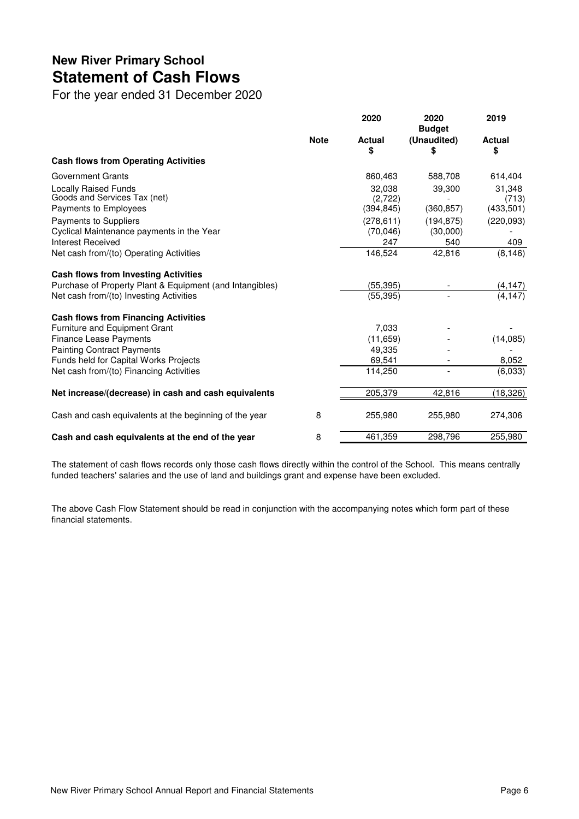### **New River Primary School Statement of Cash Flows**

For the year ended 31 December 2020

|                                                                                      |             |                                 |                          |                              |  |  | 2020 | 2020<br><b>Budget</b> | 2019 |
|--------------------------------------------------------------------------------------|-------------|---------------------------------|--------------------------|------------------------------|--|--|------|-----------------------|------|
|                                                                                      | <b>Note</b> | <b>Actual</b><br>\$             | (Unaudited)<br>S         | <b>Actual</b><br>\$          |  |  |      |                       |      |
| <b>Cash flows from Operating Activities</b>                                          |             |                                 |                          |                              |  |  |      |                       |      |
| <b>Government Grants</b>                                                             |             | 860,463                         | 588,708                  | 614,404                      |  |  |      |                       |      |
| <b>Locally Raised Funds</b><br>Goods and Services Tax (net)<br>Payments to Employees |             | 32,038<br>(2,722)<br>(394, 845) | 39,300<br>(360, 857)     | 31,348<br>(713)<br>(433,501) |  |  |      |                       |      |
| Payments to Suppliers                                                                |             | (278, 611)                      | (194, 875)               | (220, 093)                   |  |  |      |                       |      |
| Cyclical Maintenance payments in the Year<br>Interest Received                       |             | (70, 046)<br>247                | (30,000)<br>540          | 409                          |  |  |      |                       |      |
| Net cash from/(to) Operating Activities                                              |             | 146,524                         | 42,816                   | (8, 146)                     |  |  |      |                       |      |
| <b>Cash flows from Investing Activities</b>                                          |             |                                 |                          |                              |  |  |      |                       |      |
| Purchase of Property Plant & Equipment (and Intangibles)                             |             | (55,395)                        |                          | (4, 147)                     |  |  |      |                       |      |
| Net cash from/(to) Investing Activities                                              |             | (55, 395)                       |                          | (4, 147)                     |  |  |      |                       |      |
| <b>Cash flows from Financing Activities</b>                                          |             |                                 |                          |                              |  |  |      |                       |      |
| Furniture and Equipment Grant                                                        |             | 7,033                           |                          |                              |  |  |      |                       |      |
| <b>Finance Lease Payments</b>                                                        |             | (11, 659)                       |                          | (14, 085)                    |  |  |      |                       |      |
| <b>Painting Contract Payments</b>                                                    |             | 49,335                          |                          |                              |  |  |      |                       |      |
| Funds held for Capital Works Projects                                                |             | 69,541                          |                          | 8,052                        |  |  |      |                       |      |
| Net cash from/(to) Financing Activities                                              |             | 114,250                         | $\overline{\phantom{a}}$ | (6,033)                      |  |  |      |                       |      |
| Net increase/(decrease) in cash and cash equivalents                                 |             | 205,379                         | 42,816                   | (18, 326)                    |  |  |      |                       |      |
| Cash and cash equivalents at the beginning of the year                               | 8           | 255,980                         | 255,980                  | 274,306                      |  |  |      |                       |      |
| Cash and cash equivalents at the end of the year                                     | 8           | 461,359                         | 298,796                  | 255,980                      |  |  |      |                       |      |

The statement of cash flows records only those cash flows directly within the control of the School. This means centrally funded teachers' salaries and the use of land and buildings grant and expense have been excluded.

The above Cash Flow Statement should be read in conjunction with the accompanying notes which form part of these financial statements.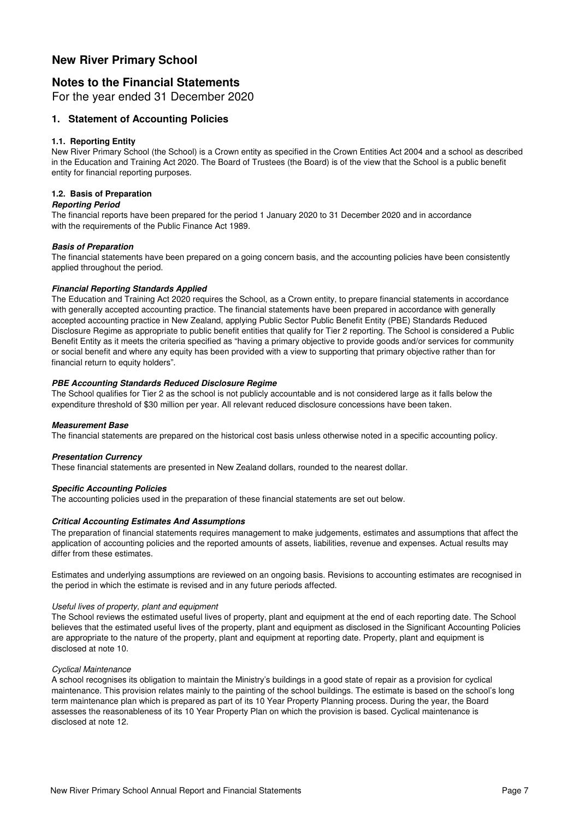### **New River Primary School**

### **Notes to the Financial Statements**

For the year ended 31 December 2020

#### **1. Statement of Accounting Policies**

#### **1.1. Reporting Entity**

New River Primary School (the School) is a Crown entity as specified in the Crown Entities Act 2004 and a school as described in the Education and Training Act 2020. The Board of Trustees (the Board) is of the view that the School is a public benefit entity for financial reporting purposes.

#### **1.2. Basis of Preparation**

#### **Reporting Period**

The financial reports have been prepared for the period 1 January 2020 to 31 December 2020 and in accordance with the requirements of the Public Finance Act 1989.

#### **Basis of Preparation**

The financial statements have been prepared on a going concern basis, and the accounting policies have been consistently applied throughout the period.

#### **Financial Reporting Standards Applied**

The Education and Training Act 2020 requires the School, as a Crown entity, to prepare financial statements in accordance with generally accepted accounting practice. The financial statements have been prepared in accordance with generally accepted accounting practice in New Zealand, applying Public Sector Public Benefit Entity (PBE) Standards Reduced Disclosure Regime as appropriate to public benefit entities that qualify for Tier 2 reporting. The School is considered a Public Benefit Entity as it meets the criteria specified as "having a primary objective to provide goods and/or services for community or social benefit and where any equity has been provided with a view to supporting that primary objective rather than for financial return to equity holders".

#### **PBE Accounting Standards Reduced Disclosure Regime**

The School qualifies for Tier 2 as the school is not publicly accountable and is not considered large as it falls below the expenditure threshold of \$30 million per year. All relevant reduced disclosure concessions have been taken.

#### **Measurement Base**

The financial statements are prepared on the historical cost basis unless otherwise noted in a specific accounting policy.

#### **Presentation Currency**

These financial statements are presented in New Zealand dollars, rounded to the nearest dollar.

#### **Specific Accounting Policies**

The accounting policies used in the preparation of these financial statements are set out below.

#### **Critical Accounting Estimates And Assumptions**

The preparation of financial statements requires management to make judgements, estimates and assumptions that affect the application of accounting policies and the reported amounts of assets, liabilities, revenue and expenses. Actual results may differ from these estimates.

Estimates and underlying assumptions are reviewed on an ongoing basis. Revisions to accounting estimates are recognised in the period in which the estimate is revised and in any future periods affected.

#### Useful lives of property, plant and equipment

disclosed at note 10. The School reviews the estimated useful lives of property, plant and equipment at the end of each reporting date. The School believes that the estimated useful lives of the property, plant and equipment as disclosed in the Significant Accounting Policies are appropriate to the nature of the property, plant and equipment at reporting date. Property, plant and equipment is

#### Cyclical Maintenance

disclosed at note 12. A school recognises its obligation to maintain the Ministry's buildings in a good state of repair as a provision for cyclical maintenance. This provision relates mainly to the painting of the school buildings. The estimate is based on the school's long term maintenance plan which is prepared as part of its 10 Year Property Planning process. During the year, the Board assesses the reasonableness of its 10 Year Property Plan on which the provision is based. Cyclical maintenance is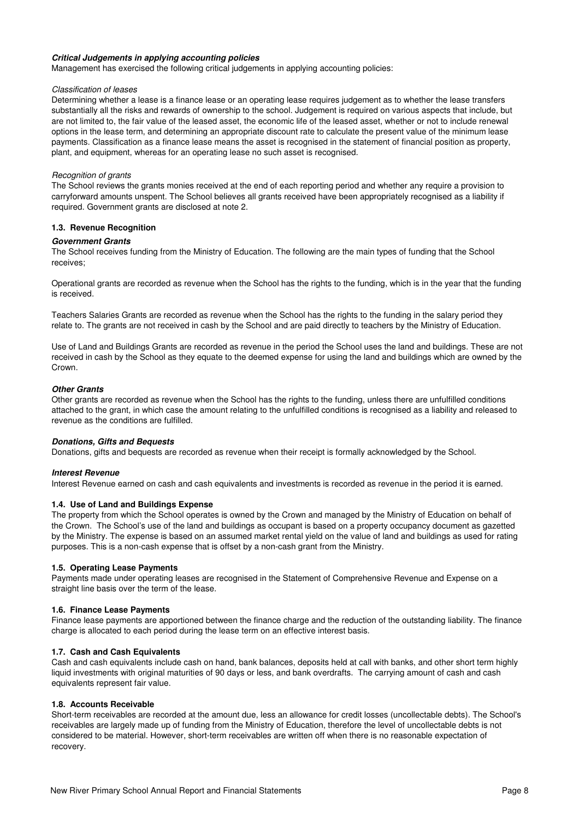#### **Critical Judgements in applying accounting policies**

Management has exercised the following critical judgements in applying accounting policies:

#### Classification of leases

Determining whether a lease is a finance lease or an operating lease requires judgement as to whether the lease transfers substantially all the risks and rewards of ownership to the school. Judgement is required on various aspects that include, but are not limited to, the fair value of the leased asset, the economic life of the leased asset, whether or not to include renewal options in the lease term, and determining an appropriate discount rate to calculate the present value of the minimum lease payments. Classification as a finance lease means the asset is recognised in the statement of financial position as property, plant, and equipment, whereas for an operating lease no such asset is recognised.

#### Recognition of grants

The School reviews the grants monies received at the end of each reporting period and whether any require a provision to carryforward amounts unspent. The School believes all grants received have been appropriately recognised as a liability if required. Government grants are disclosed at note 2.

#### **1.3. Revenue Recognition**

#### **Government Grants**

The School receives funding from the Ministry of Education. The following are the main types of funding that the School receives;

Operational grants are recorded as revenue when the School has the rights to the funding, which is in the year that the funding is received.

Teachers Salaries Grants are recorded as revenue when the School has the rights to the funding in the salary period they relate to. The grants are not received in cash by the School and are paid directly to teachers by the Ministry of Education.

Use of Land and Buildings Grants are recorded as revenue in the period the School uses the land and buildings. These are not received in cash by the School as they equate to the deemed expense for using the land and buildings which are owned by the Crown.

#### **Other Grants**

Other grants are recorded as revenue when the School has the rights to the funding, unless there are unfulfilled conditions attached to the grant, in which case the amount relating to the unfulfilled conditions is recognised as a liability and released to revenue as the conditions are fulfilled.

#### **Donations, Gifts and Bequests**

Donations, gifts and bequests are recorded as revenue when their receipt is formally acknowledged by the School.

#### **Interest Revenue**

Interest Revenue earned on cash and cash equivalents and investments is recorded as revenue in the period it is earned.

#### **1.4. Use of Land and Buildings Expense**

The property from which the School operates is owned by the Crown and managed by the Ministry of Education on behalf of the Crown. The School's use of the land and buildings as occupant is based on a property occupancy document as gazetted by the Ministry. The expense is based on an assumed market rental yield on the value of land and buildings as used for rating purposes. This is a non-cash expense that is offset by a non-cash grant from the Ministry.

#### **1.5. Operating Lease Payments**

Payments made under operating leases are recognised in the Statement of Comprehensive Revenue and Expense on a straight line basis over the term of the lease.

#### **1.6. Finance Lease Payments**

Finance lease payments are apportioned between the finance charge and the reduction of the outstanding liability. The finance charge is allocated to each period during the lease term on an effective interest basis.

#### **1.7. Cash and Cash Equivalents**

Cash and cash equivalents include cash on hand, bank balances, deposits held at call with banks, and other short term highly liquid investments with original maturities of 90 days or less, and bank overdrafts. The carrying amount of cash and cash equivalents represent fair value.

#### **1.8. Accounts Receivable**

Short-term receivables are recorded at the amount due, less an allowance for credit losses (uncollectable debts). The School's receivables are largely made up of funding from the Ministry of Education, therefore the level of uncollectable debts is not considered to be material. However, short-term receivables are written off when there is no reasonable expectation of recovery.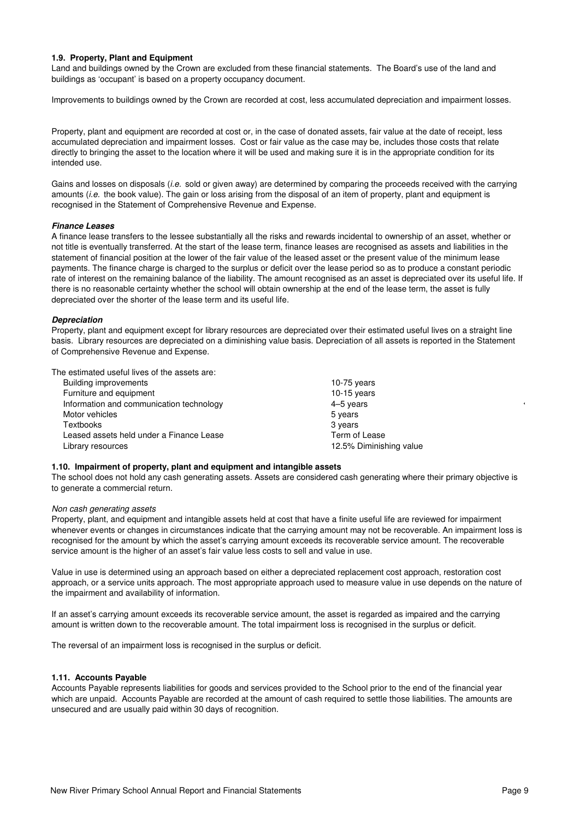#### **1.9. Property, Plant and Equipment**

Land and buildings owned by the Crown are excluded from these financial statements. The Board's use of the land and buildings as 'occupant' is based on a property occupancy document.

Improvements to buildings owned by the Crown are recorded at cost, less accumulated depreciation and impairment losses.

Property, plant and equipment are recorded at cost or, in the case of donated assets, fair value at the date of receipt, less accumulated depreciation and impairment losses. Cost or fair value as the case may be, includes those costs that relate directly to bringing the asset to the location where it will be used and making sure it is in the appropriate condition for its intended use.

Gains and losses on disposals *(i.e. sold or given away)* are determined by comparing the proceeds received with the carrying amounts *(i.e. the book value)*. The gain or loss arising from the disposal of an item of property, plant and equipment is recognised in the Statement of Comprehensive Revenue and Expense.

#### **Finance Leases**

A finance lease transfers to the lessee substantially all the risks and rewards incidental to ownership of an asset, whether or not title is eventually transferred. At the start of the lease term, finance leases are recognised as assets and liabilities in the statement of financial position at the lower of the fair value of the leased asset or the present value of the minimum lease payments. The finance charge is charged to the surplus or deficit over the lease period so as to produce a constant periodic rate of interest on the remaining balance of the liability. The amount recognised as an asset is depreciated over its useful life. If there is no reasonable certainty whether the school will obtain ownership at the end of the lease term, the asset is fully depreciated over the shorter of the lease term and its useful life.

#### **Depreciation**

Property, plant and equipment except for library resources are depreciated over their estimated useful lives on a straight line basis. Library resources are depreciated on a diminishing value basis. Depreciation of all assets is reported in the Statement of Comprehensive Revenue and Expense.

The estimated useful lives of the assets are:

| <b>Building improvements</b>             | 10-75 years             |
|------------------------------------------|-------------------------|
| Furniture and equipment                  | $10-15$ years           |
| Information and communication technology | 4-5 years               |
| Motor vehicles                           | 5 years                 |
| <b>Textbooks</b>                         | 3 years                 |
| Leased assets held under a Finance Lease | Term of Lease           |
| Library resources                        | 12.5% Diminishing value |
|                                          |                         |

#### **1.10. Impairment of property, plant and equipment and intangible assets**

The school does not hold any cash generating assets. Assets are considered cash generating where their primary objective is to generate a commercial return.

#### Non cash generating assets

Property, plant, and equipment and intangible assets held at cost that have a finite useful life are reviewed for impairment whenever events or changes in circumstances indicate that the carrying amount may not be recoverable. An impairment loss is recognised for the amount by which the asset's carrying amount exceeds its recoverable service amount. The recoverable service amount is the higher of an asset's fair value less costs to sell and value in use.

Value in use is determined using an approach based on either a depreciated replacement cost approach, restoration cost approach, or a service units approach. The most appropriate approach used to measure value in use depends on the nature of the impairment and availability of information.

If an asset's carrying amount exceeds its recoverable service amount, the asset is regarded as impaired and the carrying amount is written down to the recoverable amount. The total impairment loss is recognised in the surplus or deficit.

The reversal of an impairment loss is recognised in the surplus or deficit.

#### **1.11. Accounts Payable**

Accounts Payable represents liabilities for goods and services provided to the School prior to the end of the financial year which are unpaid. Accounts Payable are recorded at the amount of cash required to settle those liabilities. The amounts are unsecured and are usually paid within 30 days of recognition.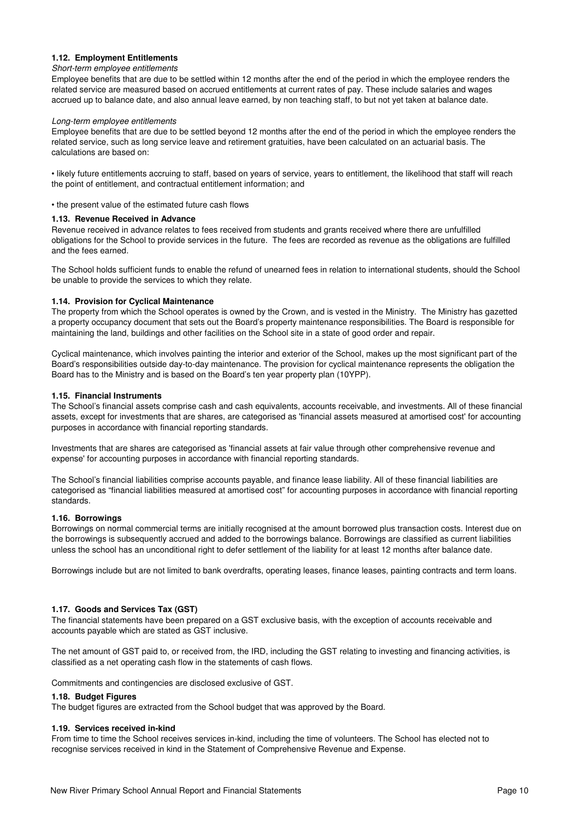#### **1.12. Employment Entitlements**

#### Short-term employee entitlements

Employee benefits that are due to be settled within 12 months after the end of the period in which the employee renders the related service are measured based on accrued entitlements at current rates of pay. These include salaries and wages accrued up to balance date, and also annual leave earned, by non teaching staff, to but not yet taken at balance date.

#### Long-term employee entitlements

Employee benefits that are due to be settled beyond 12 months after the end of the period in which the employee renders the related service, such as long service leave and retirement gratuities, have been calculated on an actuarial basis. The calculations are based on:

• likely future entitlements accruing to staff, based on years of service, years to entitlement, the likelihood that staff will reach the point of entitlement, and contractual entitlement information; and

• the present value of the estimated future cash flows

#### **1.13. Revenue Received in Advance**

Revenue received in advance relates to fees received from students and grants received where there are unfulfilled obligations for the School to provide services in the future. The fees are recorded as revenue as the obligations are fulfilled and the fees earned.

The School holds sufficient funds to enable the refund of unearned fees in relation to international students, should the School be unable to provide the services to which they relate.

#### **1.14. Provision for Cyclical Maintenance**

The property from which the School operates is owned by the Crown, and is vested in the Ministry. The Ministry has gazetted a property occupancy document that sets out the Board's property maintenance responsibilities. The Board is responsible for maintaining the land, buildings and other facilities on the School site in a state of good order and repair.

Cyclical maintenance, which involves painting the interior and exterior of the School, makes up the most significant part of the Board's responsibilities outside day-to-day maintenance. The provision for cyclical maintenance represents the obligation the Board has to the Ministry and is based on the Board's ten year property plan (10YPP).

#### **1.15. Financial Instruments**

The School's financial assets comprise cash and cash equivalents, accounts receivable, and investments. All of these financial assets, except for investments that are shares, are categorised as 'financial assets measured at amortised cost' for accounting purposes in accordance with financial reporting standards.

Investments that are shares are categorised as 'financial assets at fair value through other comprehensive revenue and expense' for accounting purposes in accordance with financial reporting standards.

The School's financial liabilities comprise accounts payable, and finance lease liability. All of these financial liabilities are categorised as "financial liabilities measured at amortised cost" for accounting purposes in accordance with financial reporting standards.

#### **1.16. Borrowings**

Borrowings on normal commercial terms are initially recognised at the amount borrowed plus transaction costs. Interest due on the borrowings is subsequently accrued and added to the borrowings balance. Borrowings are classified as current liabilities unless the school has an unconditional right to defer settlement of the liability for at least 12 months after balance date.

Borrowings include but are not limited to bank overdrafts, operating leases, finance leases, painting contracts and term loans.

#### **1.17. Goods and Services Tax (GST)**

The financial statements have been prepared on a GST exclusive basis, with the exception of accounts receivable and accounts payable which are stated as GST inclusive.

The net amount of GST paid to, or received from, the IRD, including the GST relating to investing and financing activities, is classified as a net operating cash flow in the statements of cash flows.

Commitments and contingencies are disclosed exclusive of GST.

#### **1.18. Budget Figures**

The budget figures are extracted from the School budget that was approved by the Board.

#### **1.19. Services received in-kind**

From time to time the School receives services in-kind, including the time of volunteers. The School has elected not to recognise services received in kind in the Statement of Comprehensive Revenue and Expense.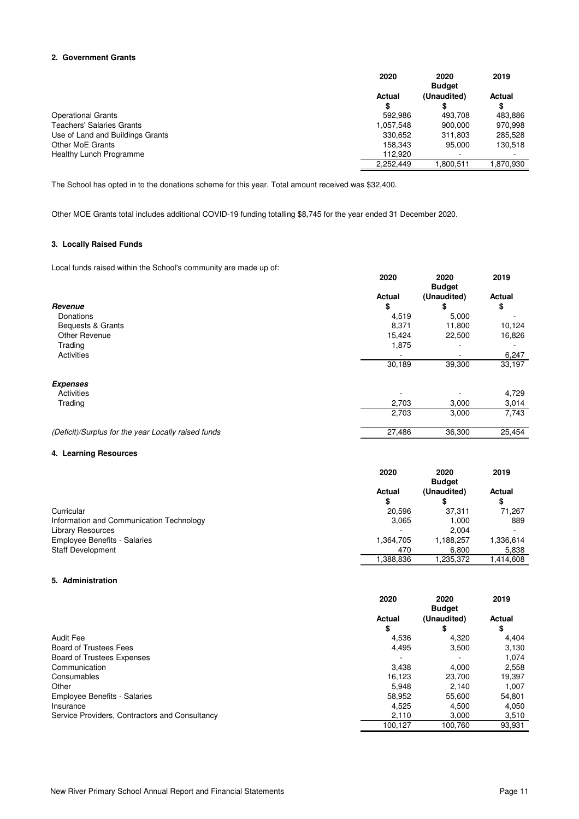#### **2. Government Grants**

|                                  | 2020      | 2020          | 2019      |
|----------------------------------|-----------|---------------|-----------|
|                                  |           | <b>Budget</b> |           |
|                                  | Actual    | (Unaudited)   | Actual    |
|                                  | S         |               | S         |
| <b>Operational Grants</b>        | 592.986   | 493.708       | 483.886   |
| <b>Teachers' Salaries Grants</b> | 1,057,548 | 900.000       | 970.998   |
| Use of Land and Buildings Grants | 330.652   | 311,803       | 285.528   |
| Other MoE Grants                 | 158,343   | 95.000        | 130.518   |
| <b>Healthy Lunch Programme</b>   | 112.920   | -             |           |
|                                  | 2,252,449 | 1.800.511     | 1,870,930 |

The School has opted in to the donations scheme for this year. Total amount received was \$32,400.

Other MOE Grants total includes additional COVID-19 funding totalling \$8,745 for the year ended 31 December 2020.

#### **3. Locally Raised Funds**

Local funds raised within the School's community are made up of:

|                                                     | 2020                     | 2020<br><b>Budget</b> | 2019   |
|-----------------------------------------------------|--------------------------|-----------------------|--------|
|                                                     | <b>Actual</b>            | (Unaudited)           | Actual |
| Revenue                                             | \$                       | \$                    | \$     |
| Donations                                           | 4,519                    | 5,000                 |        |
| Bequests & Grants                                   | 8,371                    | 11,800                | 10,124 |
| Other Revenue                                       | 15,424                   | 22,500                | 16,826 |
| Trading                                             | 1,875                    |                       |        |
| Activities                                          | $\overline{\phantom{a}}$ |                       | 6,247  |
|                                                     | 30,189                   | 39,300                | 33,197 |
| <b>Expenses</b>                                     |                          |                       |        |
| Activities                                          |                          |                       | 4,729  |
| Trading                                             | 2,703                    | 3,000                 | 3,014  |
|                                                     | 2,703                    | 3,000                 | 7,743  |
| (Deficit)/Surplus for the year Locally raised funds | 27,486                   | 36,300                | 25,454 |

#### **4. Learning Resources**

|                                          | 2020          | 2020<br><b>Budget</b> | 2019          |
|------------------------------------------|---------------|-----------------------|---------------|
|                                          | <b>Actual</b> | (Unaudited)           | <b>Actual</b> |
|                                          | \$            |                       | \$            |
| Curricular                               | 20.596        | 37.311                | 71,267        |
| Information and Communication Technology | 3.065         | 1.000                 | 889           |
| <b>Library Resources</b>                 |               | 2.004                 | -             |
| <b>Employee Benefits - Salaries</b>      | 1.364.705     | 1,188,257             | 1,336,614     |
| <b>Staff Development</b>                 | 470           | 6,800                 | 5,838         |
|                                          | .388.836      | 1,235,372             | 1.414.608     |

#### **5. Administration**

|                                                | 2020                | 2020<br><b>Budget</b> | 2019                |
|------------------------------------------------|---------------------|-----------------------|---------------------|
|                                                | <b>Actual</b><br>\$ | (Unaudited)<br>\$     | <b>Actual</b><br>\$ |
| Audit Fee                                      | 4,536               | 4,320                 | 4,404               |
| <b>Board of Trustees Fees</b>                  | 4,495               | 3,500                 | 3,130               |
| Board of Trustees Expenses                     |                     |                       | 1.074               |
| Communication                                  | 3,438               | 4,000                 | 2,558               |
| Consumables                                    | 16.123              | 23.700                | 19,397              |
| Other                                          | 5.948               | 2.140                 | 1,007               |
| <b>Employee Benefits - Salaries</b>            | 58.952              | 55.600                | 54,801              |
| Insurance                                      | 4.525               | 4.500                 | 4.050               |
| Service Providers, Contractors and Consultancy | 2,110               | 3,000                 | 3,510               |
|                                                | 100,127             | 100.760               | 93,931              |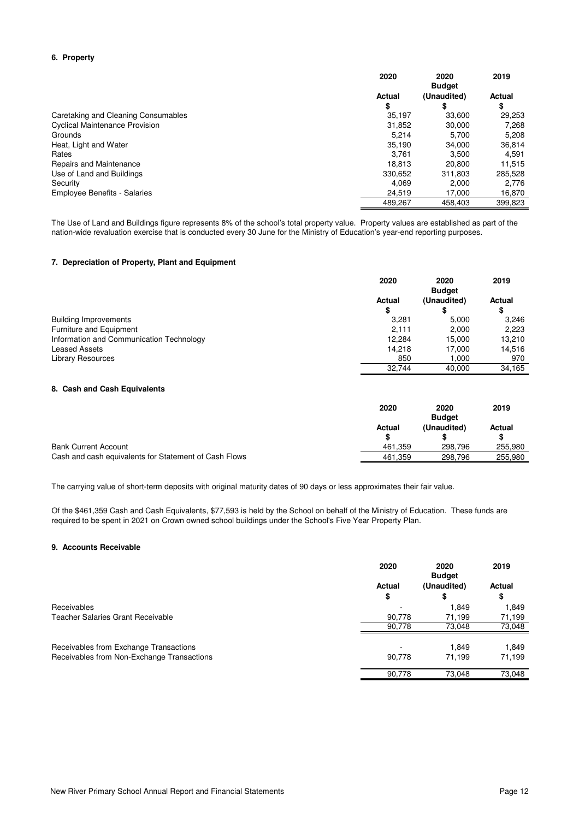#### **6. Property**

|                                       | 2020                | 2020<br><b>Budget</b> | 2019                |
|---------------------------------------|---------------------|-----------------------|---------------------|
|                                       | <b>Actual</b><br>\$ | (Unaudited)<br>\$     | <b>Actual</b><br>\$ |
| Caretaking and Cleaning Consumables   | 35.197              | 33.600                | 29,253              |
| <b>Cyclical Maintenance Provision</b> | 31,852              | 30,000                | 7,268               |
| Grounds                               | 5.214               | 5.700                 | 5.208               |
| Heat, Light and Water                 | 35.190              | 34.000                | 36,814              |
| Rates                                 | 3.761               | 3.500                 | 4.591               |
| Repairs and Maintenance               | 18.813              | 20,800                | 11,515              |
| Use of Land and Buildings             | 330.652             | 311.803               | 285.528             |
| Security                              | 4.069               | 2.000                 | 2.776               |
| <b>Employee Benefits - Salaries</b>   | 24.519              | 17.000                | 16,870              |
|                                       | 489.267             | 458.403               | 399,823             |

The Use of Land and Buildings figure represents 8% of the school's total property value. Property values are established as part of the nation-wide revaluation exercise that is conducted every 30 June for the Ministry of Education's year-end reporting purposes.

#### **7. Depreciation of Property, Plant and Equipment**

|                                          | 2020                | 2020<br><b>Budget</b> | 2019         |
|------------------------------------------|---------------------|-----------------------|--------------|
|                                          | <b>Actual</b><br>\$ | (Unaudited)           | Actual<br>\$ |
| <b>Building Improvements</b>             | 3.281               | 5.000                 | 3,246        |
| Furniture and Equipment                  | 2.111               | 2,000                 | 2.223        |
| Information and Communication Technology | 12.284              | 15.000                | 13.210       |
| <b>Leased Assets</b>                     | 14.218              | 17.000                | 14,516       |
| <b>Library Resources</b>                 | 850                 | 1.000                 | 970          |
|                                          | 32.744              | 40.000                | 34.165       |

#### **8. Cash and Cash Equivalents**

|                                                       | 2020    | 2020          | 2019    |
|-------------------------------------------------------|---------|---------------|---------|
|                                                       |         | <b>Budget</b> |         |
|                                                       | Actual  | (Unaudited)   | Actual  |
|                                                       |         |               |         |
| <b>Bank Current Account</b>                           | 461.359 | 298.796       | 255.980 |
| Cash and cash equivalents for Statement of Cash Flows | 461.359 | 298.796       | 255,980 |

The carrying value of short-term deposits with original maturity dates of 90 days or less approximates their fair value.

Of the \$461,359 Cash and Cash Equivalents, \$77,593 is held by the School on behalf of the Ministry of Education. These funds are required to be spent in 2021 on Crown owned school buildings under the School's Five Year Property Plan.

#### **9. Accounts Receivable**

|                                            | 2020          | 2020<br><b>Budget</b> | 2019   |
|--------------------------------------------|---------------|-----------------------|--------|
|                                            | <b>Actual</b> | (Unaudited)           | Actual |
|                                            | \$            | \$                    | \$     |
| <b>Receivables</b>                         |               | 1.849                 | 1.849  |
| Teacher Salaries Grant Receivable          | 90,778        | 71,199                | 71,199 |
|                                            | 90.778        | 73,048                | 73,048 |
| Receivables from Exchange Transactions     |               | 1.849                 | 1,849  |
| Receivables from Non-Exchange Transactions | 90,778        | 71.199                | 71,199 |
|                                            | 90,778        | 73,048                | 73,048 |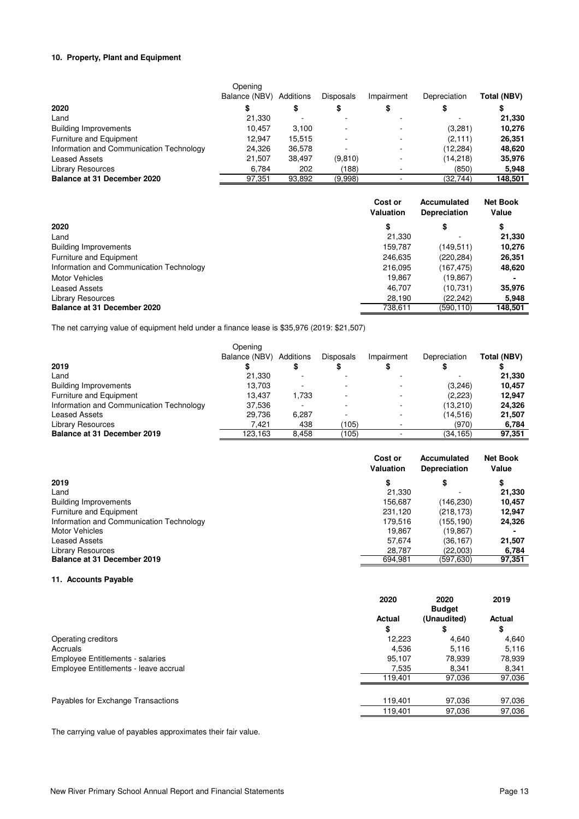#### **10. Property, Plant and Equipment**

|                                          | Opening<br>Balance (NBV) | Additions | <b>Disposals</b> | Impairment | Depreciation | Total (NBV) |
|------------------------------------------|--------------------------|-----------|------------------|------------|--------------|-------------|
| 2020                                     |                          | \$        |                  |            |              |             |
| Land                                     | 21,330                   |           |                  |            |              | 21,330      |
| <b>Building Improvements</b>             | 10.457                   | 3,100     |                  |            | (3,281)      | 10,276      |
| Furniture and Equipment                  | 12.947                   | 15,515    |                  |            | (2, 111)     | 26,351      |
| Information and Communication Technology | 24,326                   | 36,578    |                  |            | (12, 284)    | 48,620      |
| <b>Leased Assets</b>                     | 21,507                   | 38.497    | (9, 810)         |            | (14,218)     | 35,976      |
| <b>Library Resources</b>                 | 6.784                    | 202       | (188)            |            | (850)        | 5,948       |
| Balance at 31 December 2020              | 97,351                   | 93,892    | (9.998)          |            | (32, 744)    | 148,501     |

|                                          | Cost or<br>Valuation | Accumulated<br><b>Depreciation</b> | <b>Net Book</b><br>Value |
|------------------------------------------|----------------------|------------------------------------|--------------------------|
| 2020                                     | \$                   | \$                                 | \$                       |
| Land                                     | 21,330               |                                    | 21,330                   |
| <b>Building Improvements</b>             | 159.787              | (149, 511)                         | 10,276                   |
| Furniture and Equipment                  | 246,635              | (220, 284)                         | 26,351                   |
| Information and Communication Technology | 216,095              | (167, 475)                         | 48,620                   |
| <b>Motor Vehicles</b>                    | 19.867               | (19,867)                           |                          |
| <b>Leased Assets</b>                     | 46.707               | (10,731)                           | 35,976                   |
| <b>Library Resources</b>                 | 28.190               | (22.242)                           | 5,948                    |
| Balance at 31 December 2020              | 738.611              | (590.110)                          | 148,501                  |

The net carrying value of equipment held under a finance lease is \$35,976 (2019: \$21,507)

|         |         | Disposals               | Impairment | Depreciation | Total (NBV) |
|---------|---------|-------------------------|------------|--------------|-------------|
|         |         |                         |            |              |             |
| 21,330  |         |                         |            |              | 21,330      |
| 13.703  |         |                         |            | (3,246)      | 10.457      |
| 13.437  | 1.733   |                         |            | (2,223)      | 12.947      |
| 37,536  |         |                         |            | (13,210)     | 24,326      |
| 29,736  | 6,287   |                         |            | (14, 516)    | 21,507      |
| 7.421   | 438     | (105)                   |            | (970)        | 6,784       |
| 123.163 | 8,458   | (105)                   |            | (34,165)     | 97,351      |
|         | Opening | Balance (NBV) Additions |            |              |             |

|                                          | Cost or<br>Valuation | Accumulated<br><b>Depreciation</b> | <b>Net Book</b><br>Value |
|------------------------------------------|----------------------|------------------------------------|--------------------------|
| 2019                                     | \$                   | \$                                 | \$                       |
| Land                                     | 21,330               |                                    | 21,330                   |
| <b>Building Improvements</b>             | 156,687              | (146,230)                          | 10,457                   |
| Furniture and Equipment                  | 231,120              | (218, 173)                         | 12,947                   |
| Information and Communication Technology | 179.516              | (155,190)                          | 24,326                   |
| <b>Motor Vehicles</b>                    | 19,867               | (19,867)                           |                          |
| Leased Assets                            | 57.674               | (36, 167)                          | 21,507                   |
| <b>Library Resources</b>                 | 28.787               | (22,003)                           | 6,784                    |
| Balance at 31 December 2019              | 694.981              | (597.630)                          | 97,351                   |
|                                          |                      |                                    |                          |

#### **11. Accounts Payable**

|                                         | 2020          | 2020<br><b>Budget</b> | 2019   |
|-----------------------------------------|---------------|-----------------------|--------|
|                                         | <b>Actual</b> | (Unaudited)           | Actual |
|                                         | \$            | \$                    | \$     |
| Operating creditors                     | 12,223        | 4,640                 | 4,640  |
| Accruals                                | 4.536         | 5,116                 | 5,116  |
| <b>Employee Entitlements - salaries</b> | 95.107        | 78,939                | 78,939 |
| Employee Entitlements - leave accrual   | 7,535         | 8,341                 | 8,341  |
|                                         | 119,401       | 97,036                | 97,036 |
|                                         |               |                       |        |
| Payables for Exchange Transactions      | 119,401       | 97,036                | 97,036 |
|                                         | 119,401       | 97,036                | 97,036 |

The carrying value of payables approximates their fair value.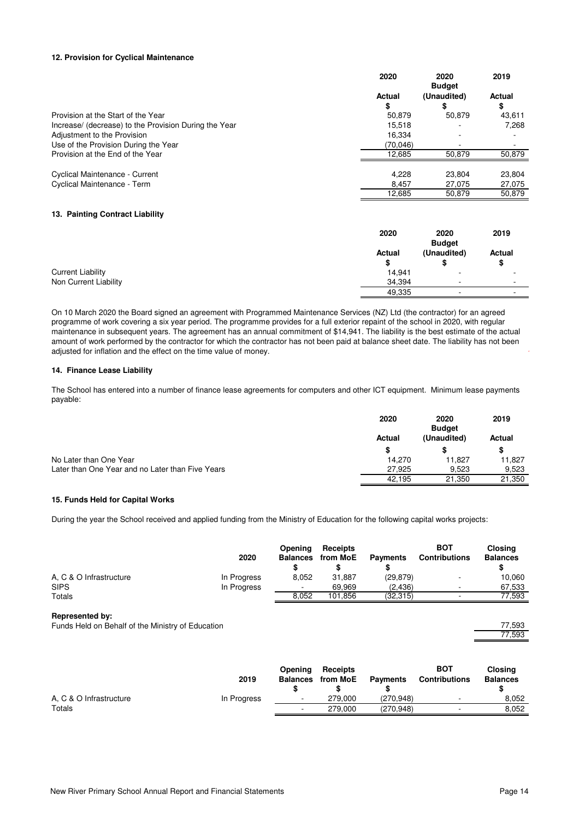#### **12. Provision for Cyclical Maintenance**

|                                                       | 2020         | 2020<br><b>Budget</b> | 2019                |
|-------------------------------------------------------|--------------|-----------------------|---------------------|
|                                                       | Actual<br>\$ | (Unaudited)<br>\$     | <b>Actual</b><br>\$ |
| Provision at the Start of the Year                    | 50.879       | 50.879                | 43,611              |
| Increase/ (decrease) to the Provision During the Year | 15.518       |                       | 7,268               |
| Adjustment to the Provision                           | 16.334       |                       |                     |
| Use of the Provision During the Year                  | (70.046)     |                       |                     |
| Provision at the End of the Year                      | 12,685       | 50.879                | 50,879              |
| Cyclical Maintenance - Current                        | 4,228        | 23.804                | 23,804              |
| Cyclical Maintenance - Term                           | 8.457        | 27.075                | 27,075              |
|                                                       | 12,685       | 50,879                | 50,879              |
|                                                       |              |                       |                     |

#### **13. Painting Contract Liability**

|                          | 2020        | 2020<br><b>Budget</b> | 2019                     |
|--------------------------|-------------|-----------------------|--------------------------|
|                          | Actual<br>S | (Unaudited)<br>\$     | Actual<br>\$             |
| <b>Current Liability</b> | 14,941      | ٠                     | ٠                        |
| Non Current Liability    | 34,394      | -                     | $\sim$                   |
|                          | 49,335      | -                     | $\overline{\phantom{0}}$ |

On 10 March 2020 the Board signed an agreement with Programmed Maintenance Services (NZ) Ltd (the contractor) for an agreed programme of work covering a six year period. The programme provides for a full exterior repaint of the school in 2020, with regular maintenance in subsequent years. The agreement has an annual commitment of \$14,941. The liability is the best estimate of the actual amount of work performed by the contractor for which the contractor has not been paid at balance sheet date. The liability has not been adjusted for inflation and the effect on the time value of money.

#### **14. Finance Lease Liability**

The School has entered into a number of finance lease agreements for computers and other ICT equipment. Minimum lease payments payable:

|                                                  | 2020   | 2020<br><b>Budget</b> | 2019   |
|--------------------------------------------------|--------|-----------------------|--------|
|                                                  | Actual | (Unaudited)           | Actual |
|                                                  | S      |                       | \$     |
| No Later than One Year                           | 14.270 | 11.827                | 11,827 |
| Later than One Year and no Later than Five Years | 27.925 | 9.523                 | 9,523  |
|                                                  | 42,195 | 21,350                | 21,350 |

#### **15. Funds Held for Capital Works**

During the year the School received and applied funding from the Ministry of Education for the following capital works projects:

|                                                                             | 2020        | Opening<br><b>Balances</b><br>\$ | Receipts<br>from MoE<br>\$ | <b>Payments</b><br>\$ | <b>BOT</b><br><b>Contributions</b> | <b>Closing</b><br><b>Balances</b><br>S |
|-----------------------------------------------------------------------------|-------------|----------------------------------|----------------------------|-----------------------|------------------------------------|----------------------------------------|
| A, C & O Infrastructure                                                     | In Progress | 8,052                            | 31,887                     | (29,879)              |                                    | 10,060                                 |
| <b>SIPS</b>                                                                 | In Progress |                                  | 69,969                     | (2,436)               |                                    | 67,533                                 |
| Totals                                                                      |             | 8,052                            | 101,856                    | (32, 315)             |                                    | 77,593                                 |
| <b>Represented by:</b><br>Funds Held on Behalf of the Ministry of Education |             |                                  |                            |                       |                                    | 77,593<br>77,593                       |
|                                                                             | 2019        | Opening<br><b>Balances</b>       | Receipts<br>from MoE       | <b>Payments</b>       | <b>BOT</b><br><b>Contributions</b> | <b>Closing</b><br><b>Balances</b>      |
|                                                                             |             | \$                               | \$                         | \$                    |                                    | \$                                     |
| A, C & O Infrastructure                                                     | In Progress |                                  | 279,000                    | (270, 948)            |                                    | 8,052                                  |
| Totals                                                                      |             |                                  | 279,000                    | (270.948)             |                                    | 8,052                                  |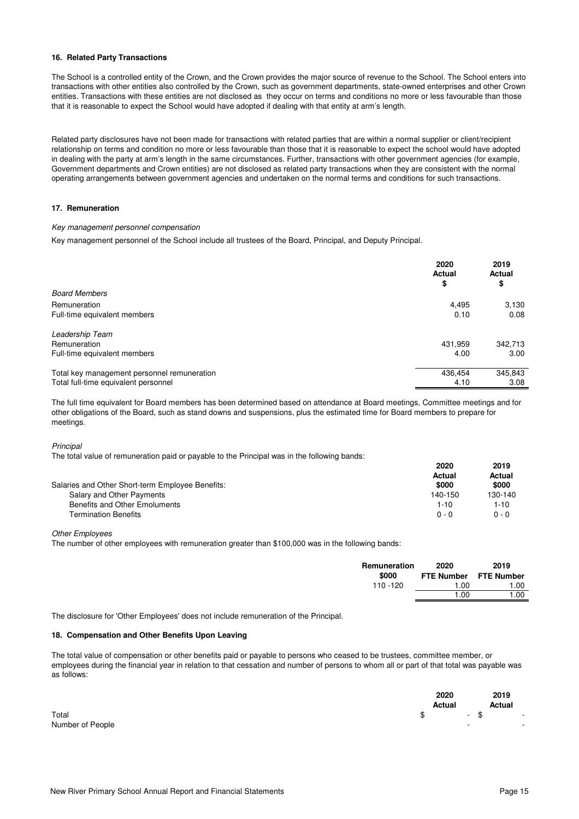#### **16. Related Party Transactions**

The School is a controlled entity of the Crown, and the Crown provides the major source of revenue to the School. The School enters into transactions with other entities also controlled by the Crown, such as government departments, state-owned enterprises and other Crown entities. Transactions with these entities are not disclosed as they occur on terms and conditions no more or less favourable than those that it is reasonable to expect the School would have adopted if dealing with that entity at arm's length.

Related party disclosures have not been made for transactions with related parties that are within a normal supplier or client/recipient relationship on terms and condition no more or less favourable than those that it is reasonable to expect the school would have adopted in dealing with the party at arm's length in the same circumstances. Further, transactions with other government agencies (for example, Government departments and Crown entities) are not disclosed as related party transactions when they are consistent with the normal operating arrangements between government agencies and undertaken on the normal terms and conditions for such transactions.

#### **17. Remuneration**

#### Key management personnel compensation

Key management personnel of the School include all trustees of the Board, Principal, and Deputy Principal.

|                                             | 2020<br><b>Actual</b><br>\$ | 2019<br><b>Actual</b><br>\$ |
|---------------------------------------------|-----------------------------|-----------------------------|
| <b>Board Members</b>                        |                             |                             |
| Remuneration                                | 4,495                       | 3,130                       |
| Full-time equivalent members                | 0.10                        | 0.08                        |
| Leadership Team                             |                             |                             |
| Remuneration                                | 431.959                     | 342,713                     |
| Full-time equivalent members                | 4.00                        | 3.00                        |
| Total key management personnel remuneration | 436,454                     | 345,843                     |
| Total full-time equivalent personnel        | 4.10                        | 3.08                        |

The full time equivalent for Board members has been determined based on attendance at Board meetings, Committee meetings and for other obligations of the Board, such as stand downs and suspensions, plus the estimated time for Board members to prepare for meetings.

**Principal** 

The total value of remuneration paid or payable to the Principal was in the following bands:

| Salaries and Other Short-term Employee Benefits: | 2020<br>Actual<br>\$000 | 2019<br>Actual<br>\$000 |
|--------------------------------------------------|-------------------------|-------------------------|
| Salary and Other Payments                        | 140-150                 | 130-140                 |
| Benefits and Other Emoluments                    | $1 - 10$                | 1-10                    |
| <b>Termination Benefits</b>                      | $0 - 0$                 | $0 - 0$                 |

Other Employees

The number of other employees with remuneration greater than \$100,000 was in the following bands:

| Remuneration | 2020              | 2019              |
|--------------|-------------------|-------------------|
| \$000        | <b>FTE Number</b> | <b>FTE Number</b> |
| 110 - 120    | .00               | .00               |
|              | 0.00              | .00.              |

The disclosure for 'Other Employees' does not include remuneration of the Principal.

#### **18. Compensation and Other Benefits Upon Leaving**

The total value of compensation or other benefits paid or payable to persons who ceased to be trustees, committee member, or employees during the financial year in relation to that cessation and number of persons to whom all or part of that total was payable was as follows:

|                  | 2020   |        | 2019                    |  |
|------------------|--------|--------|-------------------------|--|
|                  | Actual |        | Actual                  |  |
| Total            | \$     | $-$ \$ | $\sim 100$ km s $^{-1}$ |  |
| Number of People |        | $\sim$ |                         |  |